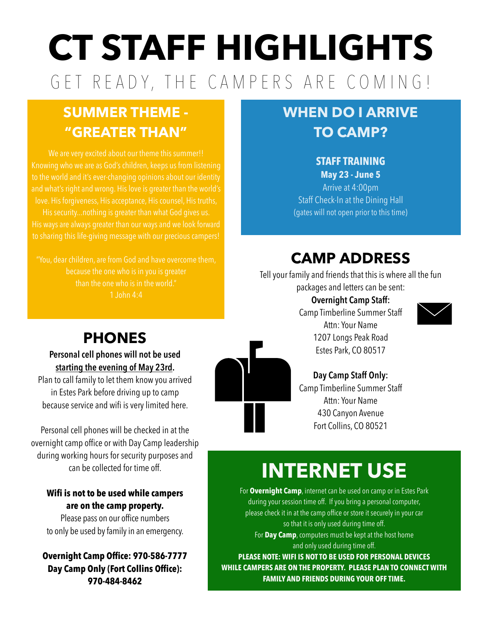# GET READY, THE CAMPERS ARE COMING! **CT STAFF HIGHLIGHTS**

# **SUMMER THEME - "GREATER THAN"**

We are very excited about our theme this summer!! Knowing who we are as God's children, keeps us from listening and what's right and wrong. His love is greater than the world's love. His forgiveness, His acceptance, His counsel, His truths, His security...nothing is greater than what God gives us. to sharing this life-giving message with our precious campers!

because the one who is in you is greater than the one who is in the world." 1 John 4:4

# **WHEN DO I ARRIVE TO CAMP?**

## **STAFF TRAINING**

**May 23 - June 5** Arrive at 4:00pm Staff Check-In at the Dining Hall (gates will not open prior to this time)

# **CAMP ADDRESS**

Tell your family and friends that this is where all the fun packages and letters can be sent:

> **Overnight Camp Staff:** Camp Timberline Summer Staff Attn: Your Name 1207 Longs Peak Road Estes Park, CO 80517



## **PHONES**

**Personal cell phones will not be used starting the evening of May 23rd.** 

Plan to call family to let them know you arrived in Estes Park before driving up to camp because service and wifi is very limited here.

Personal cell phones will be checked in at the overnight camp office or with Day Camp leadership during working hours for security purposes and can be collected for time off.

## **Wifi is not to be used while campers are on the camp property.**

Please pass on our office numbers to only be used by family in an emergency.

## **Overnight Camp Office: 970-586-7777 Day Camp Only (Fort Collins Office): 970-484-8462**



### **Day Camp Staff Only:** Camp Timberline Summer Staff Attn: Your Name 430 Canyon Avenue Fort Collins, CO 80521

# **INTERNET USE**

For Overnight Camp, internet can be used on camp or in Estes Park during your session time off. If you bring a personal computer, please check it in at the camp office or store it securely in your car so that it is only used during time off. For Day Camp, computers must be kept at the host home and only used during time off. **PLEASE NOTE: WIFI IS NOT TO BE USED FOR PERSONAL DEVICES WHILE CAMPERS ARE ON THE PROPERTY. PLEASE PLAN TO CONNECT WITH** 

**FAMILY AND FRIENDS DURING YOUR OFF TIME.**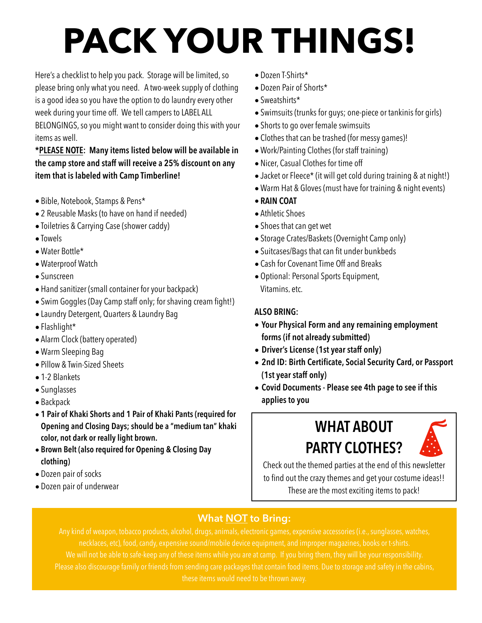# **PACK YOUR THINGS!**

Here's a checklist to help you pack. Storage will be limited, so please bring only what you need. A two-week supply of clothing is a good idea so you have the option to do laundry every other week during your time off. We tell campers to LABEL ALL

BELONGINGS, so you might want to consider doing this with your items as well.

### **\*PLEASE NOTE: Many items listed below will be available in the camp store and staff will receive a 25% discount on any item that is labeled with Camp Timberline!**

- Bible, Notebook, Stamps & Pens\*
- 2 Reusable Masks (to have on hand if needed)
- Toiletries & Carrying Case (shower caddy)
- Towels
- Water Bottle\*
- Waterproof Watch
- Sunscreen
- Hand sanitizer (small container for your backpack)
- Swim Goggles (Day Camp staff only; for shaving cream fight!)
- Laundry Detergent, Quarters & Laundry Bag
- Flashlight\*
- Alarm Clock (battery operated)
- Warm Sleeping Bag
- Pillow & Twin-Sized Sheets
- 1-2 Blankets
- Sunglasses
- Backpack
- **• 1 Pair of Khaki Shorts and 1 Pair of Khaki Pants (required for Opening and Closing Days; should be a "medium tan" khaki color, not dark or really light brown.**
- **• Brown Belt (also required for Opening & Closing Day clothing)**
- Dozen pair of socks
- Dozen pair of underwear
- Dozen T-Shirts\*
- Dozen Pair of Shorts\*
- Sweatshirts\*
- Swimsuits (trunks for guys; one-piece or tankinis for girls)
- Shorts to go over female swimsuits
- Clothes that can be trashed (for messy games)!
- Work/Painting Clothes (for staff training)
- Nicer, Casual Clothes for time off
- Jacket or Fleece\* (it will get cold during training & at night!)
- Warm Hat & Gloves (must have for training & night events)
- **• RAIN COAT**
- Athletic Shoes
- Shoes that can get wet
- Storage Crates/Baskets (Overnight Camp only)
- Suitcases/Bags that can fit under bunkbeds
- Cash for Covenant Time Off and Breaks
- Optional: Personal Sports Equipment, Vitamins, etc.

## **ALSO BRING:**

- **• Your Physical Form and any remaining employment forms (if not already submitted)**
- **• Driver's License (1st year staff only)**
- **• 2nd ID: Birth Certificate, Social Security Card, or Passport (1st year staff only)**
- **• Covid Documents Please see 4th page to see if this applies to you**

# **WHAT ABOUT PARTY CLOTHES?**



Check out the themed parties at the end of this newsletter to find out the crazy themes and get your costume ideas!! These are the most exciting items to pack!

## **What NOT to Bring:**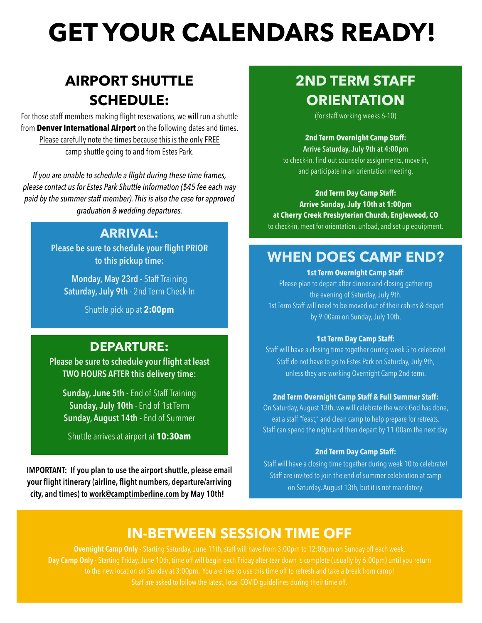# **GET YOUR CALENDARS READY!**

# **AIRPORT SHUTTLE SCHEDULE:**

For those staff members making flight reservations, we will run a shuttle from **Denver International Airport** on the following dates and times. Please carefully note the times because this is the only FREE camp shuttle going to and from Estes Park.

*If you are unable to schedule a flight during these time frames, please contact us for Estes Park Shuttle information (\$45 fee each way paid by the summer staff member). This is also the case for approved graduation & wedding departures.* 

## **ARRIVAL:**

**Please be sure to schedule your flight PRIOR** to this pickup time:

Monday, May 23rd - Staff Training **Saturday, July 9th**

Shuttle pick up at 2:00pm

## **DEPARTURE:**

**Please be sure to schedule your fl** TWO HOURS AFTER this delivery time:

Sunday, June 5th - End of Staff Training Sunday, July 10th - End of 1st Term **Sunday, August 14th** 

Shuttle arrives at airport at 10:30am

**IMPORTANT: If you plan to use the airport shuttle, please email your flight itinerary (airline, flight numbers, departure/arriving city, and times) to [work@camptimberline.com](mailto:work@camptimberline.com) by May 10th!**

# **2ND TERM STAFF ORIENTATION**

(for staff working weeks 6-10)

**2nd Term Overnight Camp Staff: Arrive Saturday, July 9th at 4:00pm**  to check-in, find out counselor assignments, move in, and participate in an orientation meeting.

**2nd Term Day Camp Staff: Arrive Sunday, July 10th at 1:00pm at Cherry Creek Presbyterian Church, Englewood, CO**

to check-in, meet for orientation, unload, and set up equipment.

## **WHEN DOES CAMP END?**

#### **1st Term Overnight Camp Staff**

Please plan to depart after dinner and closing gathering the evening of Saturday, July 9th. 1st Term Staff will need to be moved out of their cabins & depart by 9:00am on Sunday, July 10th.

#### **1st Term Day Camp Staff:**

Staff will have a closing time together during week 5 to celebrate! Staff do not have to go to Estes Park on Saturday, July 9th, unless they are working Overnight Camp 2nd term.

#### **2nd Term Overnight Camp Staff & Full Summer Staff:**

On Saturday, August 13th, we will celebrate the work God has done, eat a staff "feast," and clean camp to help prepare for retreats. Staff can spend the night and then depart by 11:00am the next day.

#### **2nd Term Day Camp Staff:**

Staff will have a closing time together during week 10 to celebrate! Staff are invited to join the end of summer celebration at camp on Saturday, August 13th, but it is not mandatory.

## **IN-BETWEEN SESSION TIME OFF**

**Overnight Camp Only -** Starting Saturday, June 11th, staff will have from 3:00pm to 12:00pm on Sunday off each week. **Day Camp Only** - Starting Friday, June 10th, time off will begin each Friday after tear down is complete (usually by 6:00pm) until you return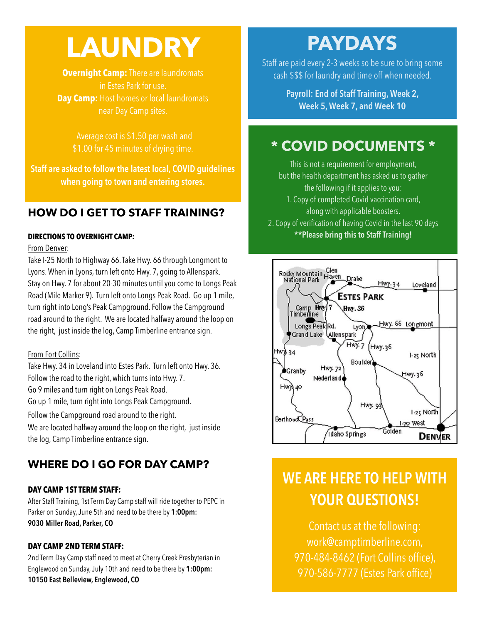# **LAUNDRY**

**Overnight Camp: There are laundromats** in Estes Park for use. **Day Camp:** Host homes or local laundromats

> Average cost is \$1.50 per wash and \$1.00 for 45 minutes of drying time.

**Staff are asked to follow the latest local, COVID guidelines when going to town and entering stores.**

## **HOW DO I GET TO STAFF TRAINING?**

### **DIRECTIONS TO OVERNIGHT CAMP:**

From Denver:

Take I-25 North to Highway 66. Take Hwy. 66 through Longmont to Lyons. When in Lyons, turn left onto Hwy. 7, going to Allenspark. Stay on Hwy. 7 for about 20-30 minutes until you come to Longs Peak Road (Mile Marker 9). Turn left onto Longs Peak Road. Go up 1 mile, turn right into Long's Peak Campground. Follow the Campground road around to the right. We are located halfway around the loop on the right, just inside the log, Camp Timberline entrance sign.

### From Fort Collins:

Take Hwy. 34 in Loveland into Estes Park. Turn left onto Hwy. 36.

Follow the road to the right, which turns into Hwy. 7.

Go 9 miles and turn right on Longs Peak Road.

Go up 1 mile, turn right into Longs Peak Campground.

Follow the Campground road around to the right.

We are located halfway around the loop on the right, just inside the log, Camp Timberline entrance sign.

## **WHERE DO I GO FOR DAY CAMP?**

### **DAY CAMP 1ST TERM STAFF:**

After Staff Training, 1st Term Day Camp staff will ride together to PEPC in Parker on Sunday, June 5th and need to be there by **1:00pm: 9030 Miller Road, Parker, CO**

### **DAY CAMP 2ND TERM STAFF:**

2nd Term Day Camp staff need to meet at Cherry Creek Presbyterian in Englewood on Sunday, July 10th and need to be there by **1:00pm: 10150 East Belleview, Englewood, CO**

# **PAYDAYS**

Staff are paid every 2-3 weeks so be sure to bring some cash \$\$\$ for laundry and time off when needed.

> **Payroll: End of Staff Training, Week 2, Week 5, Week 7, and Week 10**

## **\* COVID DOCUMENTS \***

This is not a requirement for employment, but the health department has asked us to gather the following if it applies to you: 1. Copy of completed Covid vaccination card, along with applicable boosters. 2. Copy of verification of having Covid in the last 90 days **\*\*Please bring this to Staff Training!**



# **WE ARE HERE TO HELP WITH YOUR QUESTIONS!**

Contact us at the following: work@camptimberline.com, 970-484-8462 (Fort Collins office), 970-586-7777 (Estes Park office)